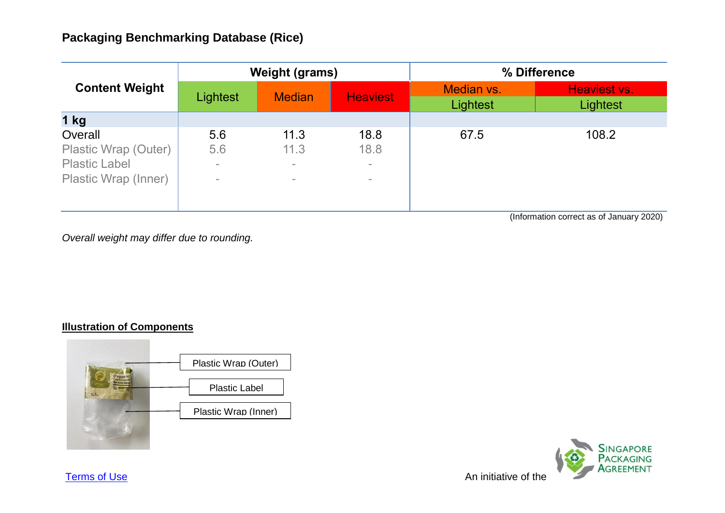| <b>Content Weight</b>                                                           | <b>Weight (grams)</b>            |                                      |                                  | % Difference           |                          |
|---------------------------------------------------------------------------------|----------------------------------|--------------------------------------|----------------------------------|------------------------|--------------------------|
|                                                                                 | Lightest                         | <b>Median</b>                        | <b>Heaviest</b>                  | Median vs.<br>Lightest | Heaviest vs.<br>Lightest |
| $1$ kg                                                                          |                                  |                                      |                                  |                        |                          |
| Overall<br>Plastic Wrap (Outer)<br><b>Plastic Label</b><br>Plastic Wrap (Inner) | 5.6<br>5.6<br>$\sim$<br>$\equiv$ | 11.3<br>11.3<br>$\equiv$<br>$\equiv$ | 18.8<br>18.8<br>$\sim$<br>$\sim$ | 67.5                   | 108.2                    |

(Information correct as of January 2020)

*Overall weight may differ due to rounding.*

### **Illustration of Components**





**[Terms of Use](http://www.nea.gov.sg/terms-of-use)** An initiative of the Annual Structure of the Annual Structure Annual Structure of the Annual Structure of the Annual Structure of the Annual Structure of the Annual Structure of the Annual Structure of the A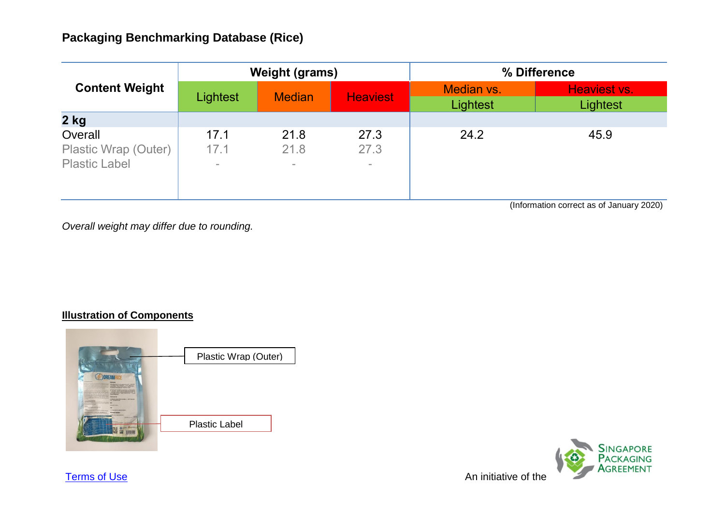| <b>Content Weight</b>                                   | <b>Weight (grams)</b>  |                        |                        | % Difference           |                          |
|---------------------------------------------------------|------------------------|------------------------|------------------------|------------------------|--------------------------|
|                                                         | Lightest               | <b>Median</b>          | <b>Heaviest</b>        | Median vs.<br>Lightest | Heaviest vs.<br>Lightest |
| $2$ kg                                                  |                        |                        |                        |                        |                          |
| Overall<br>Plastic Wrap (Outer)<br><b>Plastic Label</b> | 17.1<br>17.1<br>$\sim$ | 21.8<br>21.8<br>$\sim$ | 27.3<br>27.3<br>$\sim$ | 24.2                   | 45.9                     |

(Information correct as of January 2020)

*Overall weight may differ due to rounding.*

### **Illustration of Components**





**[Terms of Use](http://www.nea.gov.sg/terms-of-use)** An initiative of the Annual Structure of the Annual Structure Annual Structure of the Annual Structure of the Annual Structure of the Annual Structure of the Annual Structure of the Annual Structure of the A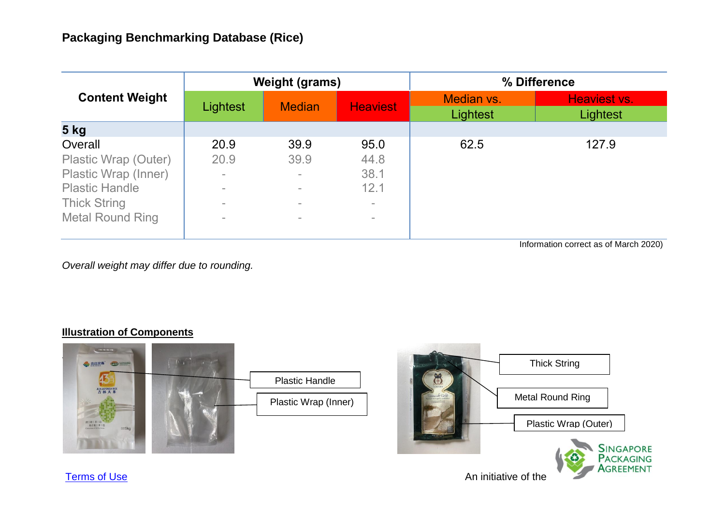| <b>Content Weight</b>   | <b>Weight (grams)</b> |               |                 | % Difference           |                          |  |
|-------------------------|-----------------------|---------------|-----------------|------------------------|--------------------------|--|
|                         | Lightest              | <b>Median</b> | <b>Heaviest</b> | Median vs.<br>Lightest | Heaviest vs.<br>Lightest |  |
| <b>5 kg</b>             |                       |               |                 |                        |                          |  |
| Overall                 | 20.9                  | 39.9          | 95.0            | 62.5                   | 127.9                    |  |
| Plastic Wrap (Outer)    | 20.9                  | 39.9          | 44.8            |                        |                          |  |
| Plastic Wrap (Inner)    | $\equiv$              | $\sim$        | 38.1            |                        |                          |  |
| <b>Plastic Handle</b>   | $\equiv$              | $\equiv$      | 12.1            |                        |                          |  |
| <b>Thick String</b>     | $\equiv$              | $\equiv$      | $\equiv$        |                        |                          |  |
| <b>Metal Round Ring</b> | $\equiv$              | $\sim$        | $\equiv$        |                        |                          |  |

Information correct as of March 2020)

Agreement

*Overall weight may differ due to rounding.*

### **Illustration of Components**



**[Terms of Use](http://www.nea.gov.sg/terms-of-use)** An initiative of the Annual Structure of the Annual Structure Annual Structure of the Annual Structure of the Annual Structure of the Annual Structure of the Annual Structure of the Annual Structure of the A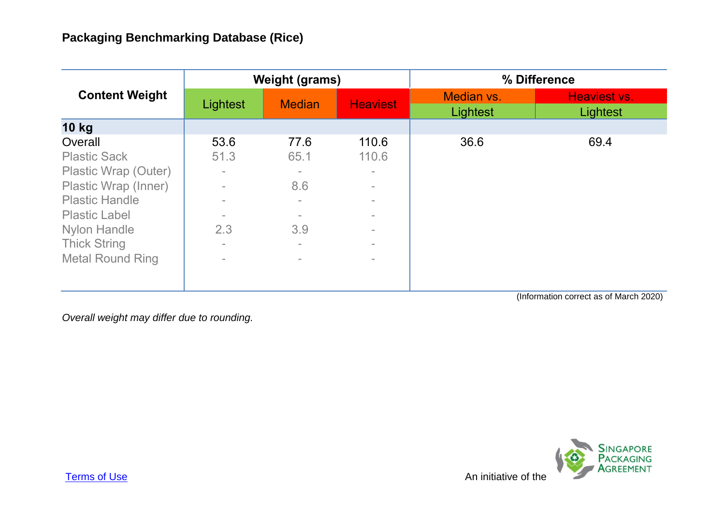| <b>Content Weight</b>   | <b>Weight (grams)</b> |               |                 | % Difference                  |                                        |
|-------------------------|-----------------------|---------------|-----------------|-------------------------------|----------------------------------------|
|                         | Lightest              | <b>Median</b> | <b>Heaviest</b> | Median vs.<br><b>Lightest</b> | <b>Heaviest vs.</b><br><b>Lightest</b> |
| <b>10 kg</b>            |                       |               |                 |                               |                                        |
| Overall                 | 53.6                  | 77.6          | 110.6           | 36.6                          | 69.4                                   |
| <b>Plastic Sack</b>     | 51.3                  | 65.1          | 110.6           |                               |                                        |
| Plastic Wrap (Outer)    | $\equiv$              | $\equiv$      | $\equiv$        |                               |                                        |
| Plastic Wrap (Inner)    | $\equiv$              | 8.6           | $\equiv$        |                               |                                        |
| <b>Plastic Handle</b>   |                       | $\equiv$      | $\equiv$        |                               |                                        |
| <b>Plastic Label</b>    |                       |               | $\equiv$        |                               |                                        |
| <b>Nylon Handle</b>     | 2.3                   | 3.9           | $\equiv$        |                               |                                        |
| <b>Thick String</b>     | $\equiv$              | $\equiv$      | $\equiv$        |                               |                                        |
| <b>Metal Round Ring</b> | $\equiv$              | $\equiv$      | $\equiv$        |                               |                                        |
|                         |                       |               |                 |                               |                                        |
|                         |                       |               |                 |                               |                                        |

(Information correct as of March 2020)

*Overall weight may differ due to rounding.*